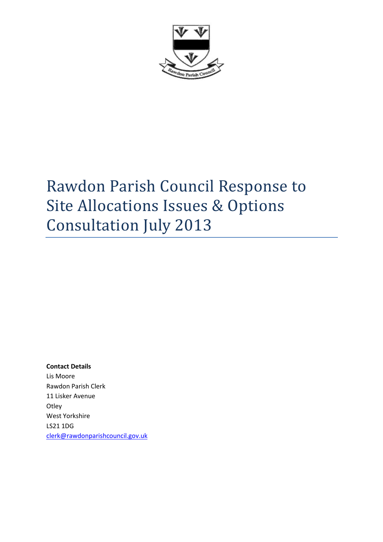

# Rawdon Parish Council Response to Site Allocations Issues & Options Consultation July 2013

## Contact Details

Lis Moore Rawdon Parish Clerk 11 Lisker Avenue **Otley** West Yorkshire LS21 1DG clerk@rawdonparishcouncil.gov.uk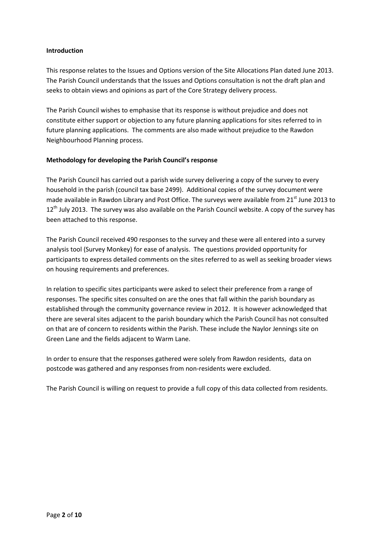## Introduction

This response relates to the Issues and Options version of the Site Allocations Plan dated June 2013. The Parish Council understands that the Issues and Options consultation is not the draft plan and seeks to obtain views and opinions as part of the Core Strategy delivery process.

The Parish Council wishes to emphasise that its response is without prejudice and does not constitute either support or objection to any future planning applications for sites referred to in future planning applications. The comments are also made without prejudice to the Rawdon Neighbourhood Planning process.

# Methodology for developing the Parish Council's response

The Parish Council has carried out a parish wide survey delivering a copy of the survey to every household in the parish (council tax base 2499). Additional copies of the survey document were made available in Rawdon Library and Post Office. The surveys were available from 21<sup>st</sup> June 2013 to  $12<sup>th</sup>$  July 2013. The survey was also available on the Parish Council website. A copy of the survey has been attached to this response.

The Parish Council received 490 responses to the survey and these were all entered into a survey analysis tool (Survey Monkey) for ease of analysis. The questions provided opportunity for participants to express detailed comments on the sites referred to as well as seeking broader views on housing requirements and preferences.

In relation to specific sites participants were asked to select their preference from a range of responses. The specific sites consulted on are the ones that fall within the parish boundary as established through the community governance review in 2012. It is however acknowledged that there are several sites adjacent to the parish boundary which the Parish Council has not consulted on that are of concern to residents within the Parish. These include the Naylor Jennings site on Green Lane and the fields adjacent to Warm Lane.

In order to ensure that the responses gathered were solely from Rawdon residents, data on postcode was gathered and any responses from non-residents were excluded.

The Parish Council is willing on request to provide a full copy of this data collected from residents.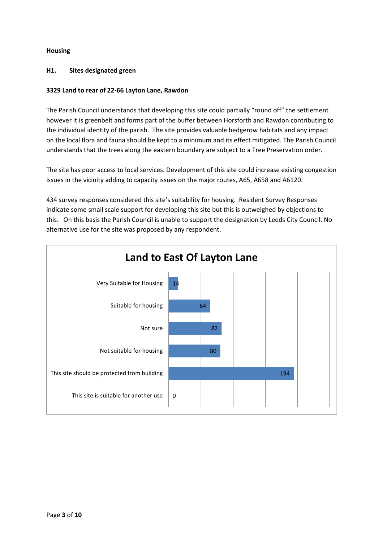# Housing

## H1. Sites designated green

## 3329 Land to rear of 22-66 Layton Lane, Rawdon

The Parish Council understands that developing this site could partially "round off" the settlement however it is greenbelt and forms part of the buffer between Horsforth and Rawdon contributing to the individual identity of the parish. The site provides valuable hedgerow habitats and any impact on the local flora and fauna should be kept to a minimum and its effect mitigated. The Parish Council understands that the trees along the eastern boundary are subject to a Tree Preservation order.

The site has poor access to local services. Development of this site could increase existing congestion issues in the vicinity adding to capacity issues on the major routes, A65, A658 and A6120.

434 survey responses considered this site's suitability for housing. Resident Survey Responses indicate some small scale support for developing this site but this is outweighed by objections to this. On this basis the Parish Council is unable to support the designation by Leeds City Council. No alternative use for the site was proposed by any respondent.

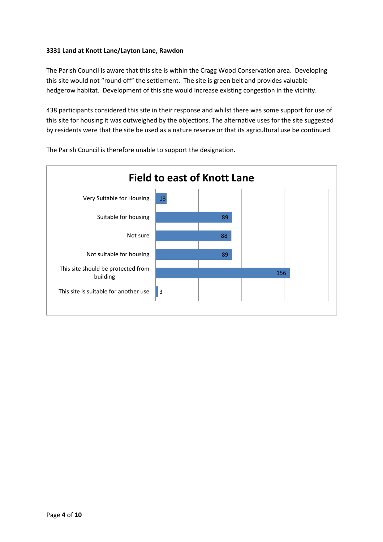# 3331 Land at Knott Lane/Layton Lane, Rawdon

The Parish Council is aware that this site is within the Cragg Wood Conservation area. Developing this site would not "round off" the settlement. The site is green belt and provides valuable hedgerow habitat. Development of this site would increase existing congestion in the vicinity.

438 participants considered this site in their response and whilst there was some support for use of this site for housing it was outweighed by the objections. The alternative uses for the site suggested by residents were that the site be used as a nature reserve or that its agricultural use be continued.



The Parish Council is therefore unable to support the designation.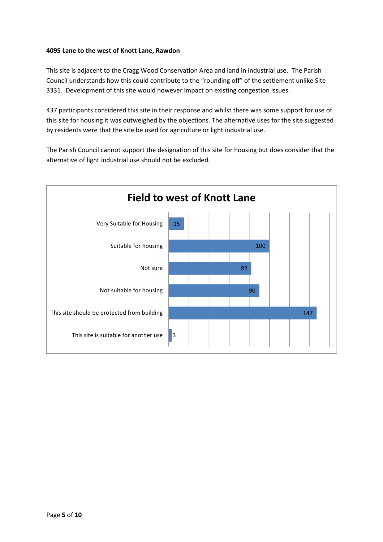## 4095 Lane to the west of Knott Lane, Rawdon

This site is adjacent to the Cragg Wood Conservation Area and land in industrial use. The Parish Council understands how this could contribute to the "rounding off" of the settlement unlike Site 3331. Development of this site would however impact on existing congestion issues.

437 participants considered this site in their response and whilst there was some support for use of this site for housing it was outweighed by the objections. The alternative uses for the site suggested by residents were that the site be used for agriculture or light industrial use.

The Parish Council cannot support the designation of this site for housing but does consider that the alternative of light industrial use should not be excluded.

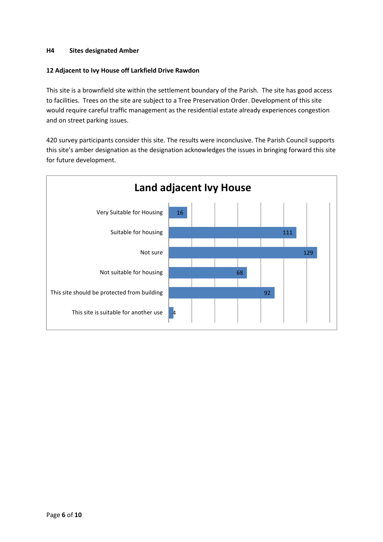## H4 Sites designated Amber

#### 12 Adjacent to Ivy House off Larkfield Drive Rawdon

This site is a brownfield site within the settlement boundary of the Parish. The site has good access to facilities. Trees on the site are subject to a Tree Preservation Order. Development of this site would require careful traffic management as the residential estate already experiences congestion and on street parking issues.

420 survey participants consider this site. The results were inconclusive. The Parish Council supports this site's amber designation as the designation acknowledges the issues in bringing forward this site for future development.

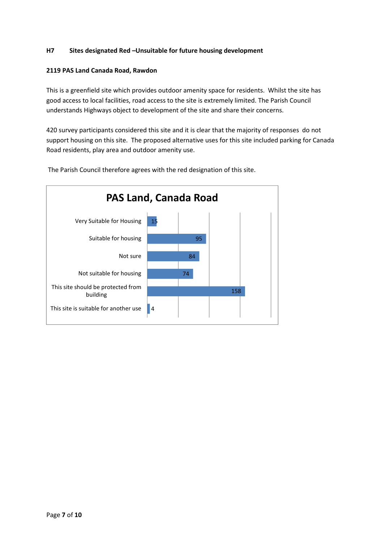# H7 Sites designated Red –Unsuitable for future housing development

#### 2119 PAS Land Canada Road, Rawdon

This is a greenfield site which provides outdoor amenity space for residents. Whilst the site has good access to local facilities, road access to the site is extremely limited. The Parish Council understands Highways object to development of the site and share their concerns.

420 survey participants considered this site and it is clear that the majority of responses do not support housing on this site. The proposed alternative uses for this site included parking for Canada Road residents, play area and outdoor amenity use.



The Parish Council therefore agrees with the red designation of this site.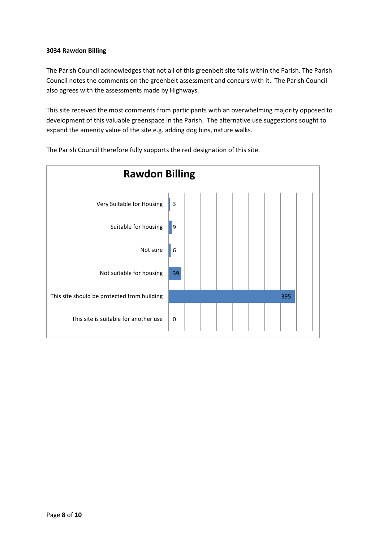## 3034 Rawdon Billing

The Parish Council acknowledges that not all of this greenbelt site falls within the Parish. The Parish Council notes the comments on the greenbelt assessment and concurs with it. The Parish Council also agrees with the assessments made by Highways.

This site received the most comments from participants with an overwhelming majority opposed to development of this valuable greenspace in the Parish. The alternative use suggestions sought to expand the amenity value of the site e.g. adding dog bins, nature walks.



The Parish Council therefore fully supports the red designation of this site.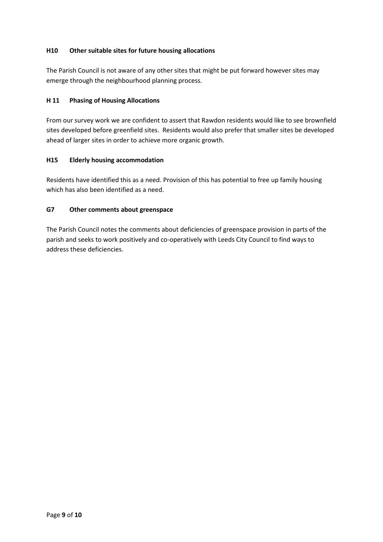# H10 Other suitable sites for future housing allocations

The Parish Council is not aware of any other sites that might be put forward however sites may emerge through the neighbourhood planning process.

# H 11 Phasing of Housing Allocations

From our survey work we are confident to assert that Rawdon residents would like to see brownfield sites developed before greenfield sites. Residents would also prefer that smaller sites be developed ahead of larger sites in order to achieve more organic growth.

# H15 Elderly housing accommodation

Residents have identified this as a need. Provision of this has potential to free up family housing which has also been identified as a need.

# G7 Other comments about greenspace

The Parish Council notes the comments about deficiencies of greenspace provision in parts of the parish and seeks to work positively and co-operatively with Leeds City Council to find ways to address these deficiencies.